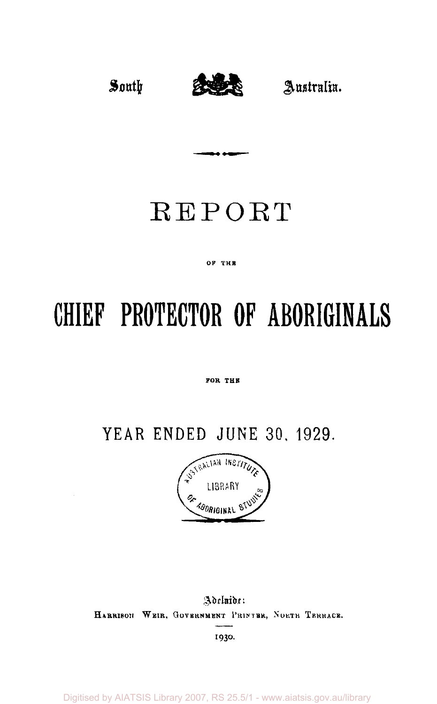

## REPORT

. . .

#### OF THE

# **CHIEF PROTECTOR OF ABORIGINALS**

#### FOR THE

## **YEAR ENDED JUNE 30 , 1929 .**



Adelaide: **HARRISON WEIR , GOVERNMENT PRINTER, NORTH TERRACE.** 

**I930** 

Digitised by AIATSIS Library 2007, RS 25.5/1 - www.aiatsis.gov.au/library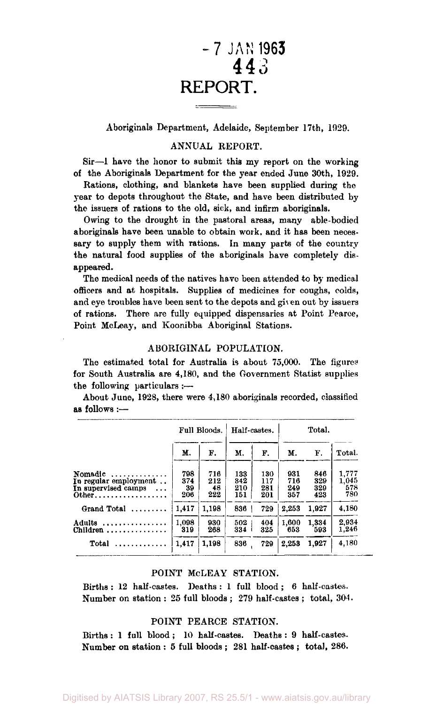### **- 7 JAN 1963 443 3 REPORT.**

Aboriginals Department, Adelaide, September 17th, 1929.

#### ANNUAL REPORT.

Sir—1 have the honor to submit this my report on the working of the Aboriginals Department for the year ended June 30th, 1929.

Rations, clothing, and blankets have been supplied during the year to depots throughout the State, and have been distributed by the issuers of rations to the old, sick, and infirm aboriginals.

Owing to the drought in the pastoral areas, many able-bodied aboriginals have been unable to obtain work, and it has been necessary to supply them with rations. In many parts of the country the natural food supplies of the aboriginals have completely disappeared.

The medical needs of the natives have been attended to by medical officers and at hospitals. Supplies of medicines for coughs, colds, and eye troubles have been sent to the depots and given out by issuers of rations. There are fully equipped dispensaries at Point Pearce, Point McLeay, and Koonibba Aboriginal Stations.

#### ABORIGINAL POPULATION.

The estimated total for Australia is about 75,000. The figures for South Australia are 4,180, and the Government Statist supplies the following particulars :—

About June, 1928, there were 4,180 aboriginals recorded, classified as follows :—

|                                                                                            |                         | Full Bloods.            | Half-castes.             |                          |                          | Total.                   |                              |  |  |
|--------------------------------------------------------------------------------------------|-------------------------|-------------------------|--------------------------|--------------------------|--------------------------|--------------------------|------------------------------|--|--|
|                                                                                            | М.                      | F.                      | М.                       | F.                       | М.                       | F.                       | Total.                       |  |  |
| Nomadic<br>. <i>.</i><br>In regular employment<br>In supervised camps<br>$\cdots$<br>0ther | 798<br>374<br>39<br>206 | 716<br>212<br>48<br>222 | 133<br>342<br>210<br>151 | 130<br>117<br>281<br>201 | 931<br>716<br>249<br>357 | 846<br>329<br>329<br>423 | 1,777<br>1.045<br>578<br>780 |  |  |
| Grand Total $\ldots \ldots$                                                                | 1.417                   | 1,198                   | 836                      | 729                      | 2.253                    | 1.927                    | 4,180                        |  |  |
| Adults<br>Children<br>.                                                                    | 1.098<br>319            | 930<br>268              | 502<br>334               | 404<br>325               | 1.600<br>653             | 1.334<br>593             | 2.934<br>1,246               |  |  |
|                                                                                            | 1,417                   | 1.198                   | 836                      | 729                      | 2,253                    | 1.927                    | 4,180                        |  |  |

#### POINT McLEAY STATION.

Births : 12 half-castes. Deaths : 1 full blood ; 6 half-castes. Number on station : 25 full bloods ; 279 half-castes ; total, 304.

#### POINT PEARCE STATION.

Births : 1 full blood ; 10 half-castes. Deaths : 9 half-castes. Number on station : 5 full bloods ; 281 half-castes ; total, 286.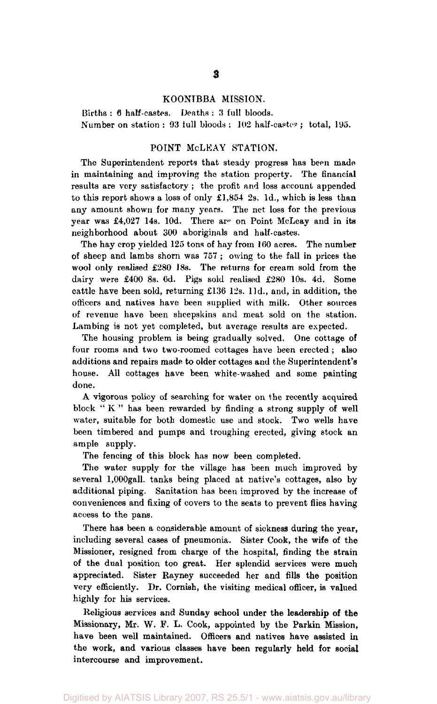#### KOONTBBA MISSION.

Births : 6 half-castes. Deaths : 3 full bloods. Number on station : 93 full bloods ; 102 half-castes ; total, 195.

#### POINT McLEAY STATION.

The Superintendent reports that steady progress has been made in maintaining and improving the station property. The financial results are very satisfactory ; the profit and loss account appended to this report shows a loss of only  $£1,854$  2s. 1d., which is less than any amount shown for many years. The net loss for the previous year was £4,027 14s. 10d. There are on Point McLeay and in its neighborhood about 300 aboriginals and half-castes.

The hay crop yielded 125 tons of hay from 160 acres. The number of sheep and lambs shorn was 757 ; owing to the fall in prices the wool only realised £280 18s. The returns for cream sold from the dairy were £400 8s. 6d. Pigs sold realised £280 10s. 4d. Some cattle have been sold, returning £136 12s. 11d., and, in addition, the officers and natives have been supplied with milk. Other sources of revenue have been sheepskins and meat sold on the station. Lambing is not yet completed, but average results are expected.

The housing problem is being gradually solved. One cottage of four rooms and two two-roomed cottages have been erected ; also additions and repairs made to older cottages and the Superintendent's house. All cottages have been white-washed and some painting done.

A vigorous policy of searching for water on the recently acquired block " K " has been rewarded by finding a strong supply of well water, suitable for both domestic use and stock. Two wells have been timbered and pumps and troughing erected, giving stock an ample supply.

The fencing of this block has now been completed.

The water supply for the village has been much improved by several l,000gall. tanks being placed at native's cottages, also by additional piping. Sanitation has been improved by the increase of conveniences and fixing of covers to the seats to prevent flies having access to the pans.

There has been a considerable amount of sickness during the year, including several cases of pneumonia. Sister Cook, the wife of the Missioner, resigned from charge of the hospital, finding the strain of the dual position too great. Her splendid services were much appreciated. Sister Rayney succeeded her and fills the position very efficiently. Dr. Cornish, the visiting medical officer, is valued highly for his services.

Religious services and Sunday school under the leadership of the Missionary, Mr. W. F. L. Cook, appointed by the Parkin Mission, have been well maintained. Officers and natives have assisted in the work, and various classes have been regularly held for social intercourse and improvement.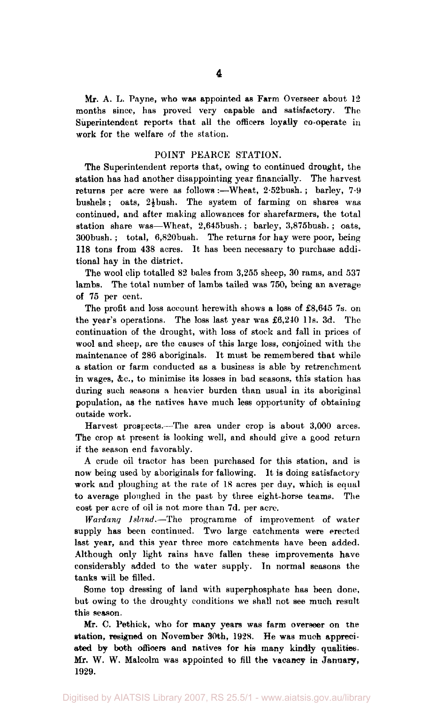Mr. A. L. Payne, who was appointed as Farm Overseer about 12 months since, has proved very capable and satisfactory. The Superintendent reports that all the officers loyally co-operate in work for the welfare of the station.

#### POINT PEARCE STATION.

The Superintendent reports that, owing to continued drought, the station has had another disappointing year financially. The harvest returns per acre were as follows :—Wheat, 2.52 bush. ; barley, 7.9 bushels; oats,  $2\frac{1}{2}$  bush. The system of farming on shares was continued, and after making allowances for sharefarmers, the total station share was—Wheat, 2,645bush. ; barley, 3,875bush. ; oats, 300bush. ; total, 6,820bush. The returns for hay were poor, being 118 tons from 438 acres. It has been necessary to purchase additional hay in the district.

The wool clip totalled 82 bales from 3,255 sheep, 30 rams, and 537 lambs. The total number of lambs tailed was 750, being an average of 75 per cent.

The profit and loss account herewith shows a loss of £8,645 7s. on the year's operations. The loss last year was £6,240 l1s. 3d. The continuation of the drought, with loss of stock and fall in prices of wool and sheep, are the causes of this large loss, conjoined with the maintenance of 286 aboriginals. It must be remembered that while a station or farm conducted as a business is able by retrenchment in wages, &c, to minimise its losses in bad seasons, this station has during such seasons a heavier burden than usual in its aboriginal population, as the natives have much less opportunity of obtaining outside work.

Harvest prospects.—The area under crop is about 3,000 arces. The crop at present is looking well, and should give a good return if the season end favorably.

A crude oil tractor has been purchased for this station, and is now being used by aboriginals for fallowing. It is doing satisfactory work and ploughing at the rate of 18 acres per day, which is equal to average ploughed in the past by three eight-horse teams. The cost per acre of oil is not more than 7d. per acre.

*Wardang Island*—The programme of improvement of water supply has been continued. Two large catchments were erected last year, and this year three more catchments have been added. Although only light rains have fallen these improvements have considerably added to the water supply. In normal seasons the tanks will be filled.

Some top dressing of land with superphosphate has been done, but owing to the droughty conditions we shall not see much result this season.

Mr. C. Pethick, who for many years was farm overseer on the station, resigned on November 30th, 1928. He was much appreciated by both officers and natives for his many kindly qualities. Mr. W. W. Malcolm was appointed to fill the vacancy in January, 1929.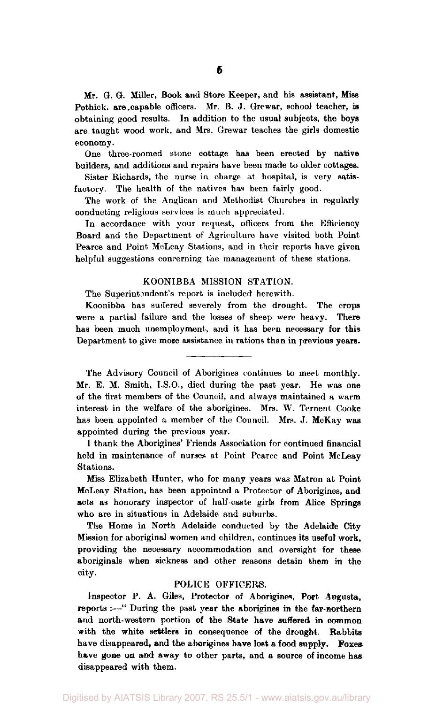Mr. G. G. Miller, Book and Store Keeper, and his assistant, Miss Pethick. are capable officers. Mr. B. J. Grewar, school teacher, is obtaining good results. In addition to the usual subjects, the boys are taught wood work, and Mrs. Grewar teaches the girls domestic economy.

One three-roomed stone cottage has been erected by native builders, and additions and repairs have been made to older cottages.

Sister Richards, the nurse in charge at hospital, is very satisfactory. The health of the natives has been fairly good.

The work of the Anglican and Methodist Churches in regularly conducting religious services is much appreciated.

In accordance with your request, officers from the Efficiency Board and the Department of Agriculture have visited both Point Pearce and Point McLeay Stations, and in their reports have given helpful suggestions concerning the management of these stations.

#### KOONIBBA MISSION STATION.

The Superintendent's report is included herewith.

Koonibba has suffered severely from the drought. The crops were a partial failure and the losses of sheep were heavy. There has been much unemployment, and it has been necessary for this Department to give more assistance in rations than in previous vears.

The Advisory Council of Aborigines continues to meet monthly. Mr. E. M. Smith, i.S.O., died during the past year. He was one of the first members of the Council, and always maintained a warm interest in the welfare of the aborigines. Mrs. W. Ternent Cooke has been appointed a member of the Council. Mrs. J. McKay was appointed during the previous year.

I thank the Aborigines' Friends Association for continued financial held in maintenance of nurses at Point Pearce and Point McLeay Stations.

Miss Elizabeth Hunter, who for many years was Matron at Point McLeay Station, has been appointed a Protector of Aborigines, and acts as honorary inspector of half-caste girls from Alice Springs who are in situations in Adelaide and suburbs.

The Home in North Adelaide conducted by the Adelaide City Mission for aboriginal women and children, continues its useful work, providing the necessary accommodation and oversight for these aboriginals when sickness and other reasons detain them in the city.

#### POLICE OFFICERS.

Inspector P. A. Giles, Protector of Aborigines, Port Angusta, reports :—" During the past year the aborigines in the far-northern and north-western portion of the State have suffered in common with the white settlers in consequence of the drought. Rabbits have disappeared, and the aborigines have lost a food supply. Foxes have gone on and away to other parts, and a source of income has disappeared with them.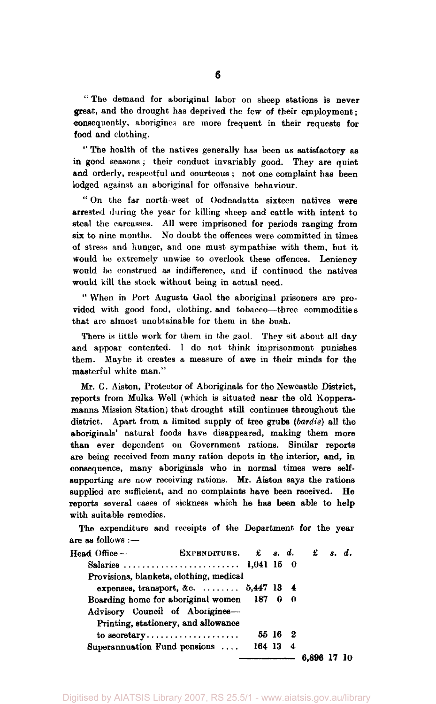" The demand for aboriginal labor on sheep stations is never great, and the drought has deprived the few of their employment; consequently, aborigines are more frequent in their requests for food and clothing.

" The health of the natives generally has been as satisfactory as in good seasons; their conduct invariably good. They are quiet and orderly, respectful and courteous ; not one complaint has been lodged against an aboriginal for offensive behaviour.

" On the far north-west of Oodnadatta sixteen natives were arrested during the year for killing sheep and cattle with intent to steal the carcasses. All were imprisoned for periods ranging from six to nine months. No doubt the offences were committed in times of stress and hunger, and one must sympathise with them, but it would be extremely unwise to overlook these offences. Leniency would bo construed as indifference, and if continued the natives would kill the stock without being in actual need.

" When in Port Augusta Gaol the aboriginal prisoners are provided with good food, clothing, and tobacco—three commodities that are almost unobtainable for them in the bush.

There is little work for them in the gaol. They sit about all day and appear contented. I do not think imprisonment punishes them. Maybe it creates a measure of awe in their minds for the masterful white man."

Mr. G. Aiston, Protector of Aboriginals for the Newcastle District, reports from Mulka Well (which is situated near the old Kopperamanna Mission Station) that drought still continues throughout the district. Apart from a limited supply of tree grubs *(bardis)* all the aboriginals' natural foods have disappeared, making them more than ever dependent on Government rations. Similar reports are being received from many ration depots in the interior, and, in consequence, many aboriginals who in normal times were selfsupporting are now receiving rations. Mr. Aiston says the rations supplied are sufficient, and no complaints have been received. He reports several cases of sickness which he has been able to help with suitable remedies.

The expenditure and receipts of the Department for the year are as follows :—

| Head Office- | EXPENDITURE. $\pounds$ s. d. $\pounds$ s. d. |          |         |             |  |
|--------------|----------------------------------------------|----------|---------|-------------|--|
|              | Salaries  1,041 15 0                         |          |         |             |  |
|              | Provisions, blankets, clothing, medical      |          |         |             |  |
|              | expenses, transport, &c. $5,447$ 13 $4$      |          |         |             |  |
|              | Boarding home for aboriginal women 187 0 0   |          |         |             |  |
|              | Advisory Council of Aborigines-              |          |         |             |  |
|              | Printing, stationery, and allowance          |          |         |             |  |
|              |                                              |          | 55 16 2 |             |  |
|              | Superannuation Fund pensions                 | 164 13 4 |         |             |  |
|              |                                              |          |         | 6,896 17 10 |  |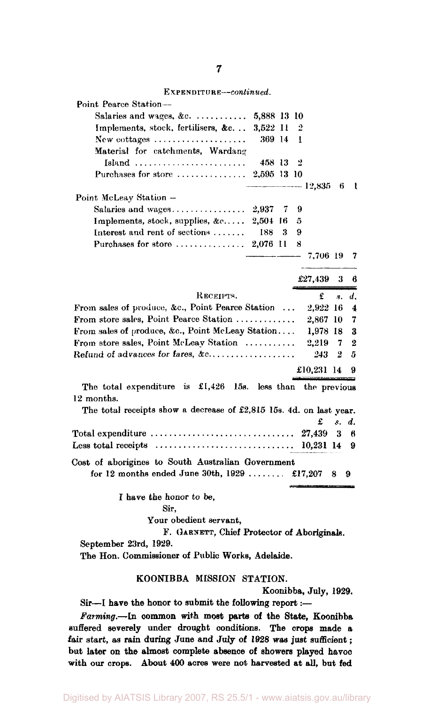**7** 

EXPENDITURE—*continued.* 

| Point Pearce Station--                                                             |             |   |   |              |         |                     |
|------------------------------------------------------------------------------------|-------------|---|---|--------------|---------|---------------------|
| Salaries and wages, &c.  5,888 13 10                                               |             |   |   |              |         |                     |
| Implements, stock, fertilisers, &c                                                 | 3.522 11    |   | 2 |              |         |                     |
| New cottages                                                                       | 369 14      |   | T |              |         |                     |
| Material for catchments, Wardang                                                   |             |   |   |              |         |                     |
| $Island  \dots  \dots  \dots $                                                     | 458 13      |   | 2 |              |         |                     |
| Purchases for store                                                                | 2,595 13 10 |   |   |              |         |                     |
|                                                                                    |             |   |   | $--- 12,835$ | 6       | - 1                 |
| Point McLeay Station -                                                             |             |   |   |              |         |                     |
|                                                                                    |             |   | 9 |              |         |                     |
| Implements, stock, supplies, &c 2,504 16                                           |             |   | 5 |              |         |                     |
| Interest and rent of sections  I88                                                 |             | 3 | 9 |              |         |                     |
| Purchases for store  2,076 11                                                      |             |   | 8 |              |         |                     |
|                                                                                    |             |   |   | 7.706 19     |         | 7                   |
|                                                                                    |             |   |   |              |         |                     |
|                                                                                    |             |   |   | £27,439      | 3       | 6                   |
| RECEIPTS.                                                                          |             |   |   | £            | 8.      | d.                  |
| From sales of produce, &c., Point Pearce Station                                   |             |   |   | 2,922 16     |         | $\overline{\bf{4}}$ |
| From store sales, Point Pearce Station                                             |             |   |   | 2,867 10     |         | 7                   |
| From sales of produce, &c., Point McLeay Station                                   |             |   |   | 1,978 18     |         | 3                   |
| From store sales, Point McLeav Station                                             |             |   |   | 2.219        | 7       | 2                   |
| Refund of advances for fares, &c                                                   |             |   |   | 243          | 2       | 5                   |
|                                                                                    |             |   |   |              |         |                     |
|                                                                                    |             |   |   | £10,231 14   |         | 9                   |
| The total expenditure is $\pounds1,426$ 15s. less than                             |             |   |   | the previous |         |                     |
| 12 months.                                                                         |             |   |   |              |         |                     |
| The total receipts show a decrease of £2,815 15s. 4d. on last year.                |             |   |   |              |         |                     |
|                                                                                    |             |   |   | £            | $s_{-}$ | d.                  |
| Total expenditure $\ldots \ldots \ldots \ldots \ldots \ldots \ldots \ldots \ldots$ |             |   |   | 27.439       | 3       | 6                   |
| Less total receipts $\dots\dots\dots\dots\dots\dots\dots\dots\dots\dots\dots$      |             |   |   | 10,231 14    |         | 9                   |
| Cost of aborigines to South Australian Government                                  |             |   |   |              |         |                     |
| for 12 months ended June 30th, $1929$ £17,207                                      |             |   |   |              | 8       | 9                   |
|                                                                                    |             |   |   |              |         |                     |
| I have the honor to be,                                                            |             |   |   |              |         |                     |
| Sir.                                                                               |             |   |   |              |         |                     |
| Your obedient servant,                                                             |             |   |   |              |         |                     |
| F. GARNETT, Chief Protector of Aboriginals.                                        |             |   |   |              |         |                     |
| September 23rd, 1929.                                                              |             |   |   |              |         |                     |
| The Hon. Commissioner of Public Works, Adelaide.                                   |             |   |   |              |         |                     |
|                                                                                    |             |   |   |              |         |                     |

#### **KOONIBBA MISSION STATION.**

**Koonibba, July, 1929.** 

**Sir—I have the honor to submit the following report:—** 

*Farming.***—In common with most parts of the State, Koonibba Buffered severely under drought conditions. The crops made a fair start, as rain during June and July of 1928 was just sufficient; but later on the almost complete absence of showers played havoc with our crops. About 400 acres were not harvested at all, but fed**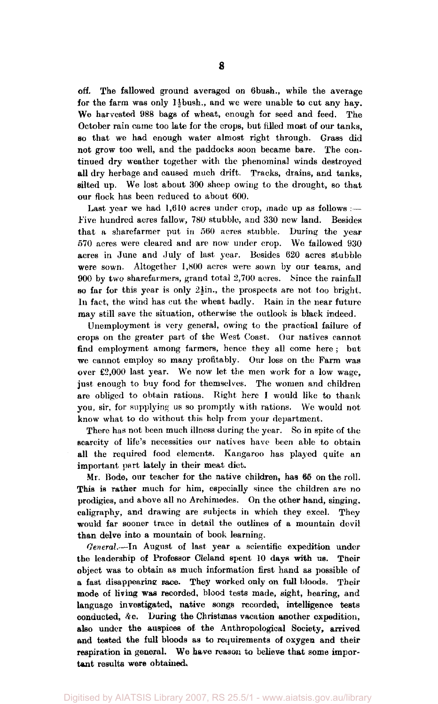off. The fallowed ground averaged on 6bush., while the average for the farm was only 1} bush., and we were unable to cut any hay. We harvested 988 bags of wheat, enough for seed and feed. The October rain came too late for the crops, but filled most of our tanks, so that we had enough water almost right through. Grass did not grow too well, and the paddocks soon became bare. The continued dry weather together with the phenominal winds destroyed all dry herbage and caused much drift. Tracks, drains, and tanks, silted up. We lost about 300 sheep owing to the drought, so that our flock has been reduced to about 600.

Last year we had  $1,610$  acres under crop, made up as follows :ive hundred acres fallow, 780 stubble, and 330 new land. Besides that a sharefarmer put in 560 acres stubble. During the year 570 acres were cleared and are now under crop. We fallowed 930 acres in June and July of last year. Besides 620 acres stubble were sown. Altogether 1,800 acres were sown by our teams, and 900 by two sharefarmers, grand total 2,700 acres. Since the rainfall so far for this year is only  $2\sin$ , the prospects are not too bright. In fact, the wind has cut the wheat badly. Rain in the near future may still save the situation, otherwise the outlook is black indeed.

Unemployment is very general, owing to the practical failure of crops on the greater part of the West Coast. Our natives cannot find employment among farmers, hence they all come here ; but we cannot employ so many profitably. Our loss on the Farm was over £2,000 last year. We now let the men work for a low wage, just enough to buy food for themselves. The women and children are obliged to obtain rations. Right here I would like to thank you, sir, for supplying us so promptly with rations. We would not know what to do without this help from your department.

There has not been much illness during the year. So in spite of the scarcity of life's necessities our natives have been able to obtain all the required food elements. Kangaroo has played quite an important part lately in their meat diet.

Mr. Bode, our teacher for the native children, has 66 on the roll. This is rather much for him, especially since the children are no prodigies, and above all no Archimedes. On the other hand, singing, ealigraphy, and drawing are subjects in which they excel. They would far sooner trace in detail the outlines of a mountain devil than delve into a mountain of book learning.

*General.*—In August of last year a scientific expedition under the leadership of Professor Cleland spent 10 days with us. Their object was to obtain as much information first hand as possible of a fast disappearing race. They worked only on full bloods. Their mode of living was recorded, blood tests made, sight, hearing, and language investigated, native songs recorded, intelligence tests conducted, Ac. During the Christmas vacation another expedition, also under the auspices of the Anthropological Society, arrived and tested the full bloods as to requirements of oxygen and their respiration in general. We have reason to believe that some important results were obtained.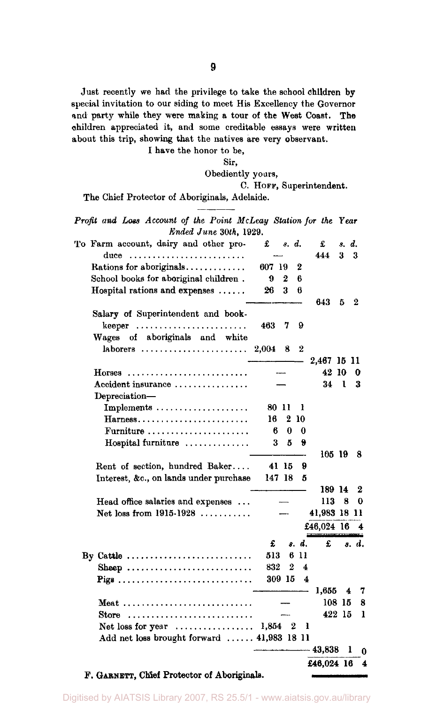Just recently we had the privilege to take the school children by special invitation to our siding to meet His Excellency the Govornor and party while they were making a tour of the West Coast. The ohildren appreciated it, and some creditable essays were written about this trip, showing that the natives are very observant.

I have the honor to be,

Sir,

Obediently yours,

C. HOFF, Superintendent.

The Chief Protector of Aboriginals, Adelaide.

*Profit and Loss Account of the Point McLeay Station for the Year Ended June 30th,* 1929.

| To Farm account, dairy and other pro-<br>duce                   | £         | s. d.  |                  | £<br>444     | s. d.<br>3   | 3     |   |
|-----------------------------------------------------------------|-----------|--------|------------------|--------------|--------------|-------|---|
| Rations for aboriginals                                         | 607 19    |        | 2                |              |              |       |   |
| School books for aboriginal children.                           | 9         | 2      | 6                |              |              |       |   |
| Hospital rations and expenses                                   | 26        | 3      | 6                | 643          | 5            | 2     |   |
| Salary of Superintendent and book-                              |           |        |                  |              |              |       |   |
| $keeper \dots \dots \dots \dots \dots \dots \dots$              | 463       | 7      | 9                |              |              |       |   |
| Wages of aboriginals and white                                  |           |        |                  |              |              |       |   |
|                                                                 | 2,004 8   |        | $\boldsymbol{2}$ | 2.467 15 11  |              |       |   |
| $H$ orses                                                       |           |        |                  | 42 10        |              | 0     |   |
| Accident insurance                                              |           |        |                  | 34           | $\mathbf{1}$ | 3     |   |
| Depreciation-                                                   |           |        |                  |              |              |       |   |
| Implements $\dots\dots\dots\dots\dots\dots\dots$                |           | 80 II  | ł                |              |              |       |   |
| $Harness$                                                       | 16.       |        | 2 10             |              |              |       |   |
| Furniture                                                       | 6         | 0      | $\bf{0}$         |              |              |       |   |
| Hospital furniture                                              | 3         | 5      | 9                |              |              |       |   |
|                                                                 |           |        |                  | 105 19       |              | 8     |   |
| Rent of section, hundred Baker                                  |           | 41 15  | 9                |              |              |       |   |
| Interest, &c., on lands under purchase                          |           | 147 18 | 5                |              |              |       |   |
|                                                                 |           |        |                  | 189 14       |              | 2     |   |
| Head office salaries and expenses                               |           |        |                  | 113          | 8            | 0     |   |
| Net loss from $1915-1928$                                       |           |        |                  | 41,983 18 11 |              |       |   |
|                                                                 |           |        |                  | £46,024 16   |              | 4     |   |
|                                                                 | £         |        | s. d.            | £            |              | s. d. |   |
| By Cattle                                                       | 513       |        | 611              |              |              |       |   |
| Sheep                                                           | 832       | 2      | 4                |              |              |       |   |
| Pigs                                                            |           | 309 15 | 4                |              |              |       |   |
|                                                                 |           |        |                  | 1,655        |              | 4.    | 7 |
| Meat                                                            |           |        |                  |              | 108 15       |       | 8 |
| Store $\ldots \ldots \ldots \ldots \ldots \ldots \ldots \ldots$ |           |        |                  |              | 422 15       |       | 1 |
| Net loss for year $\dots\dots\dots\dots\dots\dots$              | $1.854$ 2 |        |                  | ı            |              |       |   |
| Add net loss brought forward  41,983 18 11                      |           |        |                  |              |              |       |   |
|                                                                 |           |        |                  | - 43.838     |              | ı     | 0 |
|                                                                 |           |        |                  | £46,024 16   |              |       | 4 |

F. GARNETT, Chief Protector of Aboriginals.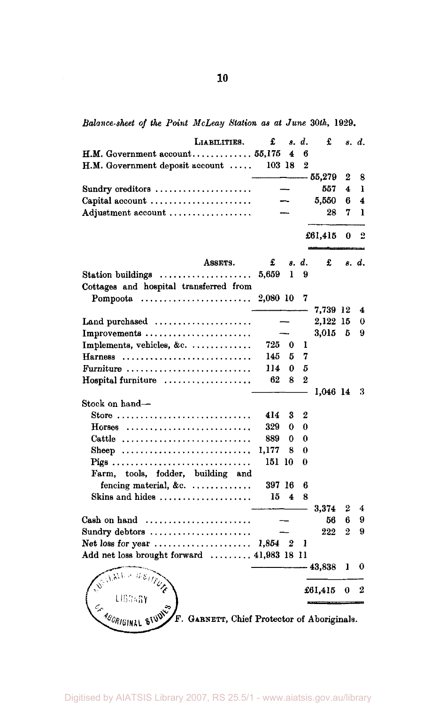*Balance-sheet of the Point McLeay Station as at June 30th,* 1929.

| Liabilities.                                                            | £        | 8.                      | d.             | £        |             | s. d. |
|-------------------------------------------------------------------------|----------|-------------------------|----------------|----------|-------------|-------|
|                                                                         |          | 4                       | в              |          |             |       |
| H.M. Government deposit account                                         | 103 18   |                         | $\overline{2}$ |          |             |       |
|                                                                         |          |                         |                | - 55,279 | 2           | 8     |
| Sundry creditors                                                        |          |                         |                | 557      | 4           | ı     |
|                                                                         |          |                         |                |          |             |       |
| Capital account                                                         |          |                         |                | 5,550    | 6           | 4     |
| Adjustment account                                                      |          |                         |                | 28       | 7           | ı     |
|                                                                         |          |                         |                |          |             |       |
|                                                                         |          |                         |                | £61,415  | 0           | 2     |
| ASSETS.                                                                 | £        |                         | s. d.          | £        |             | s. d. |
| Station buildings                                                       | 5,659    | 1                       | 9              |          |             |       |
|                                                                         |          |                         |                |          |             |       |
| Cottages and hospital transferred from                                  |          |                         |                |          |             |       |
| Pompoota $\ldots \ldots \ldots \ldots \ldots \ldots \ldots$             | 2,080 10 |                         | 7              |          |             |       |
|                                                                         |          |                         |                | 7,739 12 |             | 4     |
| Land purchased $\ldots, \ldots, \ldots, \ldots, \ldots$                 |          |                         |                | 2,122 15 |             | 0     |
| Improvements                                                            |          |                         |                | 3,015    | - 5         | 9     |
| Implements, vehicles, &c.                                               | 725      | 0                       | ı              |          |             |       |
| Harness                                                                 | 145      | 5                       | 7              |          |             |       |
| Furniture                                                               | 114      | 0                       | 5              |          |             |       |
| Hospital furniture                                                      | 62       | 8                       | $\overline{2}$ |          |             |       |
|                                                                         |          |                         |                | 1,046 14 |             | 3     |
| Stock on hand—                                                          |          |                         |                |          |             |       |
| Store                                                                   | 414      | 3                       | 2              |          |             |       |
|                                                                         | 329      |                         | 0              |          |             |       |
| $H$ orses                                                               |          | 0                       |                |          |             |       |
| Cattle                                                                  | 889      | 0                       | 0              |          |             |       |
| Sheep                                                                   | 1,177    | 8                       | 0              |          |             |       |
| Pigs                                                                    | 151 10   |                         | 0              |          |             |       |
| Farm, tools, fodder, building and                                       |          |                         |                |          |             |       |
| fencing material, &c.                                                   | 397 16   |                         | 6              |          |             |       |
| Skins and hides $\ldots, \ldots, \ldots, \ldots, \ldots$                | 15       | $\overline{\mathbf{4}}$ | 8              |          |             |       |
|                                                                         |          |                         |                | 3.374    | 2           | 4     |
| Cash on hand $\ldots, \ldots, \ldots, \ldots, \ldots, \ldots$           |          |                         |                | 56       | 6           | 9     |
| Sundry debtors                                                          |          |                         |                | 222      | $\mathbf 2$ | 9     |
| Net loss for year $\dots\dots\dots\dots\dots\dots\dots\dots$            | 1,854 2  |                         | 1              |          |             |       |
| Add net loss brought forward  41,983 18 11                              |          |                         |                |          |             |       |
|                                                                         |          |                         |                | - 43.838 | 1           | 0     |
| Weit All in the !!                                                      |          |                         |                |          |             |       |
|                                                                         |          |                         |                | £61,415  | 0           | 2     |
| LIBRARY                                                                 |          |                         |                |          |             |       |
|                                                                         |          |                         |                |          |             |       |
| <b>CABORIGINAL STUDY</b><br>F. GARNETT, Chief Protector of Aboriginals. |          |                         |                |          |             |       |
|                                                                         |          |                         |                |          |             |       |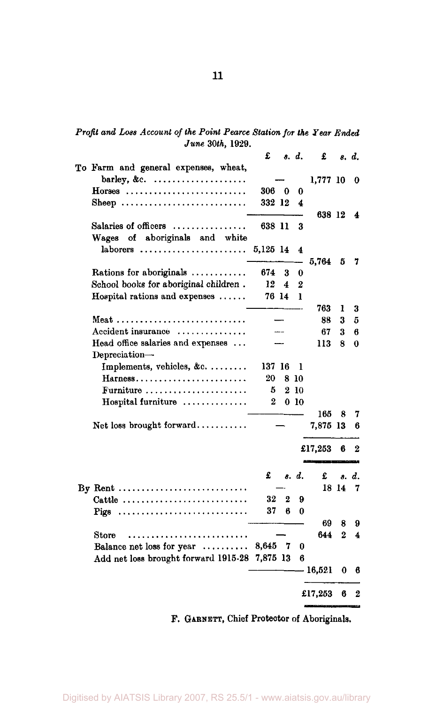|  | Profit and Loss Account of the Point Pearce Station for the Year Ended |  |                  |  |  |  |
|--|------------------------------------------------------------------------|--|------------------|--|--|--|
|  |                                                                        |  | June 30th, 1929. |  |  |  |

|                                                                   | £        |   | s. d.   | £        |                       | s. d. |
|-------------------------------------------------------------------|----------|---|---------|----------|-----------------------|-------|
| To Farm and general expenses, wheat,                              |          |   |         |          |                       |       |
| barley, &c. $\ldots$                                              |          |   |         | 1,777 10 |                       | 0     |
| $Horses$                                                          | 306 0    |   | 0       |          |                       |       |
| Sheep                                                             | 332 12   |   | 4       |          |                       |       |
|                                                                   |          |   |         | 638 12   |                       | 4     |
| Salaries of officers                                              | 638 11   |   | 3       |          |                       |       |
| aboriginals and white<br>Wages of                                 |          |   |         |          |                       |       |
| $laborers$                                                        | 5,125 14 |   | 4       |          |                       |       |
|                                                                   |          |   |         | 5,764    | 5                     | 7     |
| Rations for aboriginals                                           | 674      | 3 | 0       |          |                       |       |
| School books for aboriginal children.                             | 12       | 4 | 2       |          |                       |       |
| Hospital rations and expenses                                     | 76 14    |   | T       |          |                       |       |
|                                                                   |          |   |         | 763      | 1                     | 3     |
|                                                                   |          |   |         | 88       | 3                     | 5     |
| Accident insurance                                                |          |   |         | 67       | 3                     | 6     |
| Head office salaries and expenses                                 |          |   |         | 113      | 8                     | 0     |
| Depreciation-                                                     |          |   |         |          |                       |       |
| Implements, vehicles, &c.                                         | 137 16   |   | L       |          |                       |       |
| Harness                                                           | 20       | 8 | -10     |          |                       |       |
| Furniture                                                         | 5        |   | 2 10    |          |                       |       |
| Hospital furniture                                                | 2        |   | $0\,10$ |          |                       |       |
|                                                                   |          |   |         | 165      | 8                     | 7     |
| Net loss brought forward                                          |          |   |         | 7,875 13 |                       | 6     |
|                                                                   |          |   |         | £17,253  | 6                     | 2     |
|                                                                   | £        |   | s. d.   | £        | 8.                    | d.    |
| By Rent                                                           |          |   |         |          | 18 14                 | 7     |
| Cattle                                                            | 32       | 2 | 9       |          |                       |       |
| Pigs                                                              | 37       | 6 | 0       |          |                       |       |
|                                                                   |          |   |         | 69       |                       |       |
| Store<br>. <i>.</i>                                               |          |   |         | 644      | 8<br>$\boldsymbol{2}$ | 9     |
|                                                                   | 8,645    | 7 | 0       |          |                       | 4     |
| Balance net loss for year<br>Add net loss brought forward 1915-28 | 7,875 13 |   | 6       |          |                       |       |
|                                                                   |          |   |         | 16,521   | 0                     | 6     |
|                                                                   |          |   |         | £17,253  | 6                     | 2     |
|                                                                   |          |   |         |          |                       |       |

F. GARNETT, Chief Protector of Aboriginals.